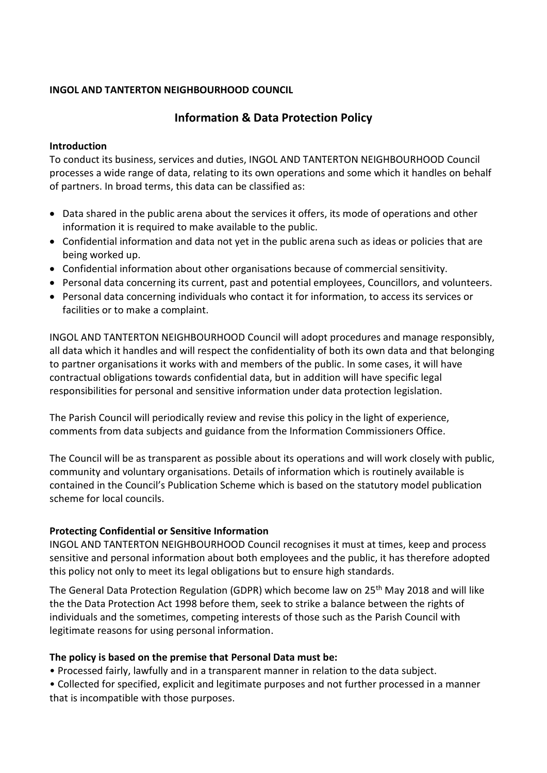### **INGOL AND TANTERTON NEIGHBOURHOOD COUNCIL**

# **Information & Data Protection Policy**

### **Introduction**

To conduct its business, services and duties, INGOL AND TANTERTON NEIGHBOURHOOD Council processes a wide range of data, relating to its own operations and some which it handles on behalf of partners. In broad terms, this data can be classified as:

- Data shared in the public arena about the services it offers, its mode of operations and other information it is required to make available to the public.
- Confidential information and data not yet in the public arena such as ideas or policies that are being worked up.
- Confidential information about other organisations because of commercial sensitivity.
- Personal data concerning its current, past and potential employees, Councillors, and volunteers.
- Personal data concerning individuals who contact it for information, to access its services or facilities or to make a complaint.

INGOL AND TANTERTON NEIGHBOURHOOD Council will adopt procedures and manage responsibly, all data which it handles and will respect the confidentiality of both its own data and that belonging to partner organisations it works with and members of the public. In some cases, it will have contractual obligations towards confidential data, but in addition will have specific legal responsibilities for personal and sensitive information under data protection legislation.

The Parish Council will periodically review and revise this policy in the light of experience, comments from data subjects and guidance from the Information Commissioners Office.

The Council will be as transparent as possible about its operations and will work closely with public, community and voluntary organisations. Details of information which is routinely available is contained in the Council's Publication Scheme which is based on the statutory model publication scheme for local councils.

### **Protecting Confidential or Sensitive Information**

INGOL AND TANTERTON NEIGHBOURHOOD Council recognises it must at times, keep and process sensitive and personal information about both employees and the public, it has therefore adopted this policy not only to meet its legal obligations but to ensure high standards.

The General Data Protection Regulation (GDPR) which become law on 25<sup>th</sup> May 2018 and will like the the Data Protection Act 1998 before them, seek to strike a balance between the rights of individuals and the sometimes, competing interests of those such as the Parish Council with legitimate reasons for using personal information.

### **The policy is based on the premise that Personal Data must be:**

• Processed fairly, lawfully and in a transparent manner in relation to the data subject.

• Collected for specified, explicit and legitimate purposes and not further processed in a manner that is incompatible with those purposes.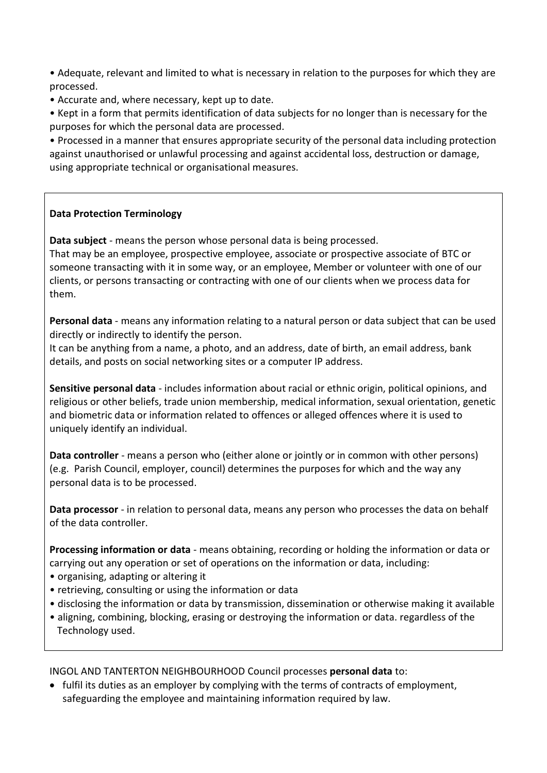• Adequate, relevant and limited to what is necessary in relation to the purposes for which they are processed.

• Accurate and, where necessary, kept up to date.

• Kept in a form that permits identification of data subjects for no longer than is necessary for the purposes for which the personal data are processed.

• Processed in a manner that ensures appropriate security of the personal data including protection against unauthorised or unlawful processing and against accidental loss, destruction or damage, using appropriate technical or organisational measures.

## **Data Protection Terminology**

**Data subject** - means the person whose personal data is being processed. That may be an employee, prospective employee, associate or prospective associate of BTC or someone transacting with it in some way, or an employee, Member or volunteer with one of our clients, or persons transacting or contracting with one of our clients when we process data for them.

**Personal data** - means any information relating to a natural person or data subject that can be used directly or indirectly to identify the person.

It can be anything from a name, a photo, and an address, date of birth, an email address, bank details, and posts on social networking sites or a computer IP address.

**Sensitive personal data** - includes information about racial or ethnic origin, political opinions, and religious or other beliefs, trade union membership, medical information, sexual orientation, genetic and biometric data or information related to offences or alleged offences where it is used to uniquely identify an individual.

**Data controller** - means a person who (either alone or jointly or in common with other persons) (e.g. Parish Council, employer, council) determines the purposes for which and the way any personal data is to be processed.

**Data processor** - in relation to personal data, means any person who processes the data on behalf of the data controller.

**Processing information or data** - means obtaining, recording or holding the information or data or carrying out any operation or set of operations on the information or data, including:

- organising, adapting or altering it
- retrieving, consulting or using the information or data
- disclosing the information or data by transmission, dissemination or otherwise making it available
- aligning, combining, blocking, erasing or destroying the information or data. regardless of the Technology used.

INGOL AND TANTERTON NEIGHBOURHOOD Council processes **personal data** to:

• fulfil its duties as an employer by complying with the terms of contracts of employment, safeguarding the employee and maintaining information required by law.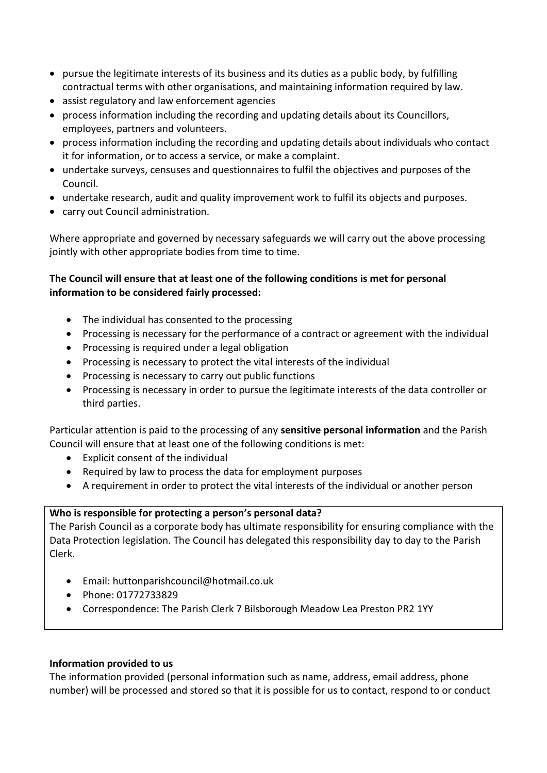- pursue the legitimate interests of its business and its duties as a public body, by fulfilling contractual terms with other organisations, and maintaining information required by law.
- assist regulatory and law enforcement agencies
- process information including the recording and updating details about its Councillors, employees, partners and volunteers.
- process information including the recording and updating details about individuals who contact it for information, or to access a service, or make a complaint.
- undertake surveys, censuses and questionnaires to fulfil the objectives and purposes of the Council.
- undertake research, audit and quality improvement work to fulfil its objects and purposes.
- carry out Council administration.

Where appropriate and governed by necessary safeguards we will carry out the above processing jointly with other appropriate bodies from time to time.

## **The Council will ensure that at least one of the following conditions is met for personal information to be considered fairly processed:**

- The individual has consented to the processing
- Processing is necessary for the performance of a contract or agreement with the individual
- Processing is required under a legal obligation
- Processing is necessary to protect the vital interests of the individual
- Processing is necessary to carry out public functions
- Processing is necessary in order to pursue the legitimate interests of the data controller or third parties.

Particular attention is paid to the processing of any **sensitive personal information** and the Parish Council will ensure that at least one of the following conditions is met:

- Explicit consent of the individual
- Required by law to process the data for employment purposes
- A requirement in order to protect the vital interests of the individual or another person

### **Who is responsible for protecting a person's personal data?**

The Parish Council as a corporate body has ultimate responsibility for ensuring compliance with the Data Protection legislation. The Council has delegated this responsibility day to day to the Parish Clerk.

- Email: huttonparishcouncil@hotmail.co.uk
- Phone: 01772733829
- Correspondence: The Parish Clerk 7 Bilsborough Meadow Lea Preston PR2 1YY

#### **Information provided to us**

The information provided (personal information such as name, address, email address, phone number) will be processed and stored so that it is possible for us to contact, respond to or conduct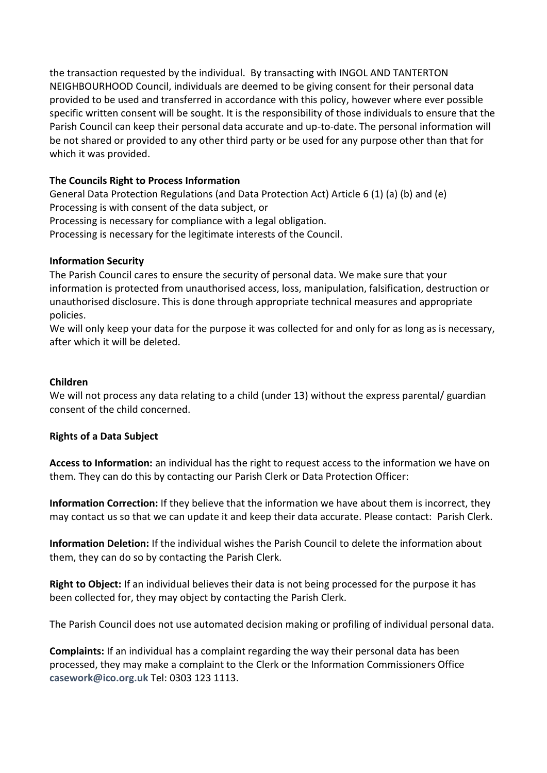the transaction requested by the individual. By transacting with INGOL AND TANTERTON NEIGHBOURHOOD Council, individuals are deemed to be giving consent for their personal data provided to be used and transferred in accordance with this policy, however where ever possible specific written consent will be sought. It is the responsibility of those individuals to ensure that the Parish Council can keep their personal data accurate and up-to-date. The personal information will be not shared or provided to any other third party or be used for any purpose other than that for which it was provided.

## **The Councils Right to Process Information**

General Data Protection Regulations (and Data Protection Act) Article 6 (1) (a) (b) and (e) Processing is with consent of the data subject, or Processing is necessary for compliance with a legal obligation. Processing is necessary for the legitimate interests of the Council.

### **Information Security**

The Parish Council cares to ensure the security of personal data. We make sure that your information is protected from unauthorised access, loss, manipulation, falsification, destruction or unauthorised disclosure. This is done through appropriate technical measures and appropriate policies.

We will only keep your data for the purpose it was collected for and only for as long as is necessary, after which it will be deleted.

### **Children**

We will not process any data relating to a child (under 13) without the express parental/ guardian consent of the child concerned.

### **Rights of a Data Subject**

**Access to Information:** an individual has the right to request access to the information we have on them. They can do this by contacting our Parish Clerk or Data Protection Officer:

**Information Correction:** If they believe that the information we have about them is incorrect, they may contact us so that we can update it and keep their data accurate. Please contact: Parish Clerk.

**Information Deletion:** If the individual wishes the Parish Council to delete the information about them, they can do so by contacting the Parish Clerk.

**Right to Object:** If an individual believes their data is not being processed for the purpose it has been collected for, they may object by contacting the Parish Clerk.

The Parish Council does not use automated decision making or profiling of individual personal data.

**Complaints:** If an individual has a complaint regarding the way their personal data has been processed, they may make a complaint to the Clerk or the Information Commissioners Office **[casework@ico.org.uk](mailto:casework@ico.org.uk)** Tel: 0303 123 1113.